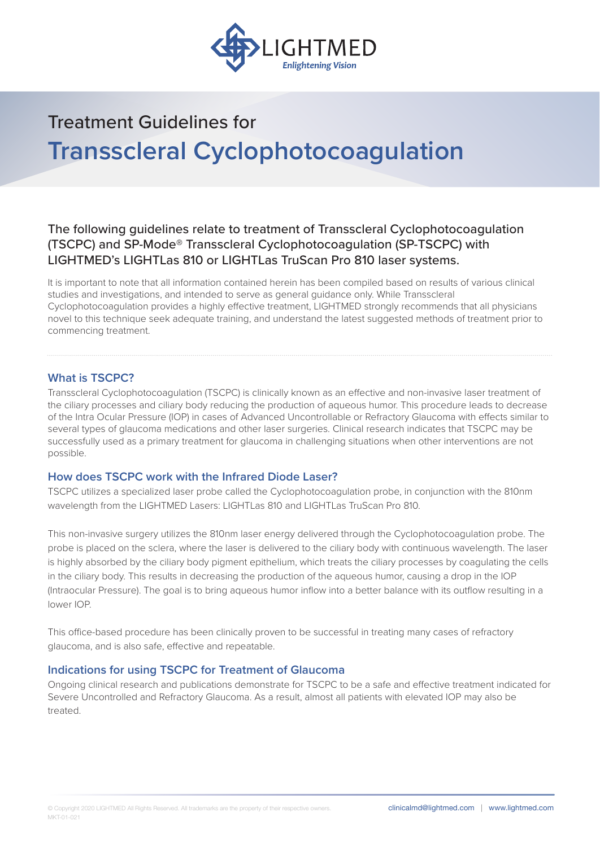

The following guidelines relate to treatment of Transscleral Cyclophotocoagulation (TSCPC) and SP-Mode® Transscleral Cyclophotocoagulation (SP-TSCPC) with LIGHTMED's LIGHTLas 810 or LIGHTLas TruScan Pro 810 laser systems.

It is important to note that all information contained herein has been compiled based on results of various clinical studies and investigations, and intended to serve as general guidance only. While Transscleral Cyclophotocoagulation provides a highly effective treatment, LIGHTMED strongly recommends that all physicians novel to this technique seek adequate training, and understand the latest suggested methods of treatment prior to commencing treatment.

## **What is TSCPC?**

Transscleral Cyclophotocoagulation (TSCPC) is clinically known as an effective and non-invasive laser treatment of the ciliary processes and ciliary body reducing the production of aqueous humor. This procedure leads to decrease of the Intra Ocular Pressure (IOP) in cases of Advanced Uncontrollable or Refractory Glaucoma with effects similar to several types of glaucoma medications and other laser surgeries. Clinical research indicates that TSCPC may be successfully used as a primary treatment for glaucoma in challenging situations when other interventions are not possible.

#### **How does TSCPC work with the Infrared Diode Laser?**

TSCPC utilizes a specialized laser probe called the Cyclophotocoagulation probe, in conjunction with the 810nm wavelength from the LIGHTMED Lasers: LIGHTLas 810 and LIGHTLas TruScan Pro 810.

This non-invasive surgery utilizes the 810nm laser energy delivered through the Cyclophotocoagulation probe. The probe is placed on the sclera, where the laser is delivered to the ciliary body with continuous wavelength. The laser is highly absorbed by the ciliary body pigment epithelium, which treats the ciliary processes by coagulating the cells in the ciliary body. This results in decreasing the production of the aqueous humor, causing a drop in the IOP (Intraocular Pressure). The goal is to bring aqueous humor inflow into a better balance with its outflow resulting in a lower IOP.

This office-based procedure has been clinically proven to be successful in treating many cases of refractory glaucoma, and is also safe, effective and repeatable.

#### **Indications for using TSCPC for Treatment of Glaucoma**

Ongoing clinical research and publications demonstrate for TSCPC to be a safe and effective treatment indicated for Severe Uncontrolled and Refractory Glaucoma. As a result, almost all patients with elevated IOP may also be treated.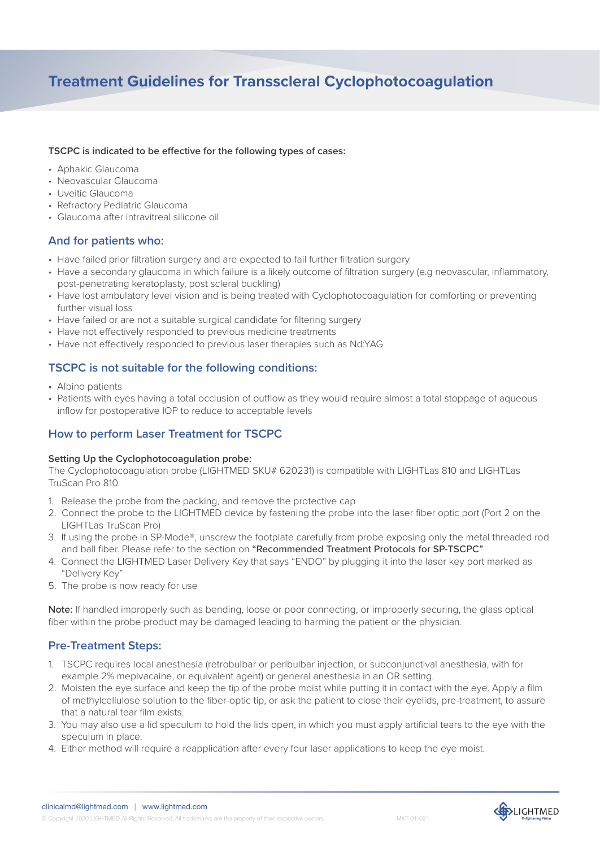#### **TSCPC** is indicated to be effective for the following types of cases:

- Aphakic Glaucoma
- Neovascular Glaucoma
- Uveitic Glaucoma
- Refractory Pediatric Glaucoma
- Glaucoma after intravitreal silicone oil

# **And for patients who:**

- Have failed prior filtration surgery and are expected to fail further filtration surgery
- Have a secondary glaucoma in which failure is a likely outcome of filtration surgery (e.g neovascular, inflammatory, post-penetrating keratoplasty, post scleral buckling)
- Have lost ambulatory level vision and is being treated with Cyclophotocoagulation for comforting or preventing further visual loss
- Have failed or are not a suitable surgical candidate for filtering surgery
- Have not effectively responded to previous medicine treatments
- Have not effectively responded to previous laser therapies such as Nd:YAG

## **TSCPC is not suitable for the following conditions:**

- Albino patients
- Patients with eyes having a total occlusion of outflow as they would require almost a total stoppage of aqueous inflow for postoperative IOP to reduce to acceptable levels

# **How to perform Laser Treatment for TSCPC**

#### **Setting Up the Cyclophotocoagulation probe:**

The Cyclophotocoagulation probe (LIGHTMED SKU# 620231) is compatible with LIGHTLas 810 and LIGHTLas TruScan Pro 810.

- 1. Release the probe from the packing, and remove the protective cap
- 2. Connect the probe to the LIGHTMED device by fastening the probe into the laser fiber optic port (Port 2 on the LIGHTLas TruScan Pro)
- 3. If using the probe in SP-Mode®, unscrew the footplate carefully from probe exposing only the metal threaded rod and ball fiber. Please refer to the section on "Recommended Treatment Protocols for SP-TSCPC"
- 4. Connect the LIGHTMED Laser Delivery Key that says "ENDO" by plugging it into the laser key port marked as "Delivery Key"
- 5. The probe is now ready for use

**Note:** If handled improperly such as bending, loose or poor connecting, or improperly securing, the glass optical fiber within the probe product may be damaged leading to harming the patient or the physician.

# **Pre-Treatment Steps:**

- 1. TSCPC requires local anesthesia (retrobulbar or peribulbar injection, or subconjunctival anesthesia, with for example 2% mepivacaine, or equivalent agent) or general anesthesia in an OR setting.
- 2. Moisten the eye surface and keep the tip of the probe moist while putting it in contact with the eye. Apply a film of methylcellulose solution to the fiber-optic tip, or ask the patient to close their eyelids, pre-treatment, to assure that a natural tear film exists.
- 3. You may also use a lid speculum to hold the lids open, in which you must apply artificial tears to the eye with the speculum in place.
- 4. Either method will require a reapplication after every four laser applications to keep the eye moist.



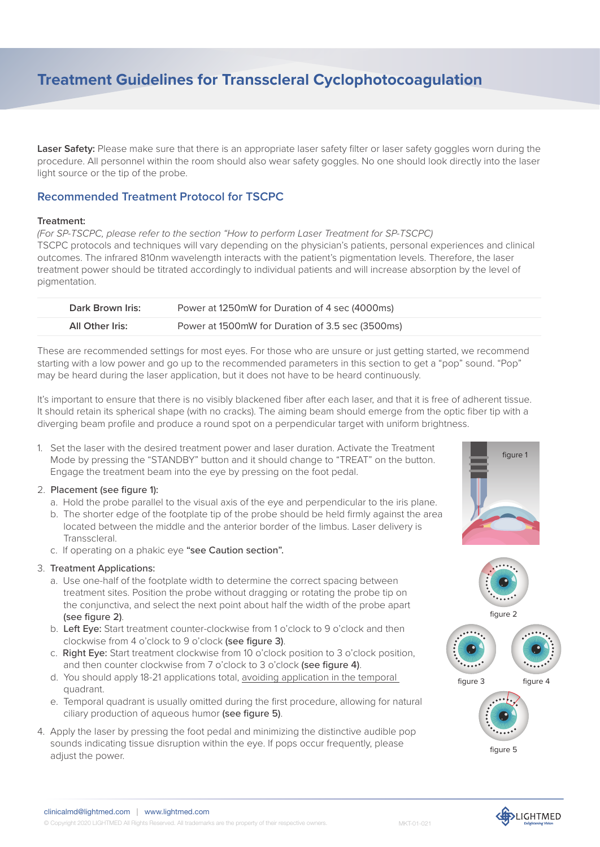Laser Safety: Please make sure that there is an appropriate laser safety filter or laser safety goggles worn during the procedure. All personnel within the room should also wear safety goggles. No one should look directly into the laser light source or the tip of the probe.

# **Recommended Treatment Protocol for TSCPC**

#### **Treatment:**

*(For SP-TSCPC, please refer to the section "How to perform Laser Treatment for SP-TSCPC)* TSCPC protocols and techniques will vary depending on the physician's patients, personal experiences and clinical outcomes. The infrared 810nm wavelength interacts with the patient's pigmentation levels. Therefore, the laser treatment power should be titrated accordingly to individual patients and will increase absorption by the level of pigmentation.

| Dark Brown Iris: | Power at 1250mW for Duration of 4 sec (4000ms)   |
|------------------|--------------------------------------------------|
| All Other Iris:  | Power at 1500mW for Duration of 3.5 sec (3500ms) |
|                  |                                                  |

These are recommended settings for most eyes. For those who are unsure or just getting started, we recommend starting with a low power and go up to the recommended parameters in this section to get a "pop" sound. "Pop" may be heard during the laser application, but it does not have to be heard continuously.

It's important to ensure that there is no visibly blackened fiber after each laser, and that it is free of adherent tissue. It should retain its spherical shape (with no cracks). The aiming beam should emerge from the optic fiber tip with a diverging beam profile and produce a round spot on a perpendicular target with uniform brightness.

1. Set the laser with the desired treatment power and laser duration. Activate the Treatment Mode by pressing the "STANDBY" button and it should change to "TREAT" on the button. Engage the treatment beam into the eye by pressing on the foot pedal.

#### 2. Placement (see figure 1):

- a. Hold the probe parallel to the visual axis of the eye and perpendicular to the iris plane.
- b. The shorter edge of the footplate tip of the probe should be held firmly against the area located between the middle and the anterior border of the limbus. Laser delivery is Transscleral.
- c. If operating on a phakic eye "see Caution section".

#### 3. Treatment Applications:

- a. Use one-half of the footplate width to determine the correct spacing between treatment sites. Position the probe without dragging or rotating the probe tip on the conjunctiva, and select the next point about half the width of the probe apart (see figure 2).
- b. Left Eye: Start treatment counter-clockwise from 1 o'clock to 9 o'clock and then clockwise from 4 o'clock to 9 o'clock (see figure 3).
- c. Right Eye: Start treatment clockwise from 10 o'clock position to 3 o'clock position, and then counter clockwise from 7 o'clock to 3 o'clock (see figure 4).
- d. You should apply 18-21 applications total, avoiding application in the temporal quadrant.
- e. Temporal quadrant is usually omitted during the first procedure, allowing for natural ciliary production of aqueous humor (see figure 5).
- 4. Apply the laser by pressing the foot pedal and minimizing the distinctive audible pop sounds indicating tissue disruption within the eye. If pops occur frequently, please adjust the power.





figure 2





figure 5

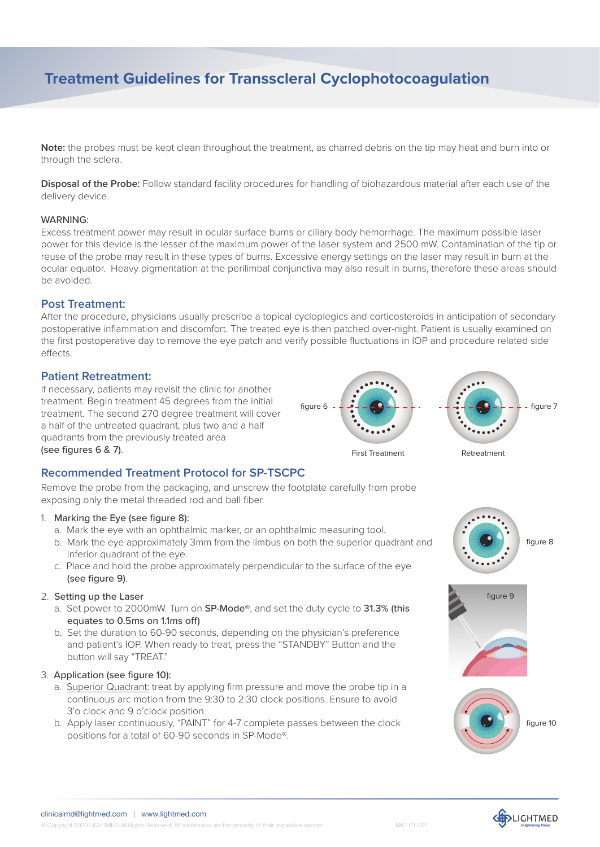**Note:** the probes must be kept clean throughout the treatment, as charred debris on the tip may heat and burn into or through the sclera.

**Disposal of the Probe:** Follow standard facility procedures for handling of biohazardous material after each use of the delivery device.

#### WARNING:

Excess treatment power may result in ocular surface burns or ciliary body hemorrhage. The maximum possible laser power for this device is the lesser of the maximum power of the laser system and 2500 mW. Contamination of the tip or reuse of the probe may result in these types of burns. Excessive energy settings on the laser may result in burn at the ocular equator. Heavy pigmentation at the perilimbal conjunctiva may also result in burns, therefore these areas should be avoided.

### **Post Treatment:**

After the procedure, physicians usually prescribe a topical cycloplegics and corticosteroids in anticipation of secondary postoperative inflammation and discomfort. The treated eye is then patched over-night. Patient is usually examined on the first postoperative day to remove the eye patch and verify possible fluctuations in IOP and procedure related side effects.

#### **Patient Retreatment:**

If necessary, patients may revisit the clinic for another treatment. Begin treatment 45 degrees from the initial treatment. The second 270 degree treatment will cover a half of the untreated quadrant, plus two and a half quadrants from the previously treated area (see figures 6 & 7).



Remove the probe from the packaging, and unscrew the footplate carefully from probe exposing only the metal threaded rod and ball fiber.

#### 1. Marking the Eye (see figure 8):

- a. Mark the eye with an ophthalmic marker, or an ophthalmic measuring tool.
- b. Mark the eye approximately 3mm from the limbus on both the superior quadrant and inferior quadrant of the eye.
- c. Place and hold the probe approximately perpendicular to the surface of the eye (see figure 9).

#### 2. Setting up the Laser

- a. Set power to 2000mW. Turn on SP-Mode®, and set the duty cycle to 31.3% (this equates to 0.5ms on 1.1ms off)
- b. Set the duration to 60-90 seconds, depending on the physician's preference and patient's IOP. When ready to treat, press the "STANDBY" Button and the button will say "TREAT."

#### 3. Application (see figure 10):

- a. Superior Quadrant: treat by applying firm pressure and move the probe tip in a continuous arc motion from the 9:30 to 2:30 clock positions. Ensure to avoid 3'o clock and 9 o'clock position.
- b. Apply laser continuously, "PAINT" for 4-7 complete passes between the clock positions for a total of 60-90 seconds in SP-Mode®.









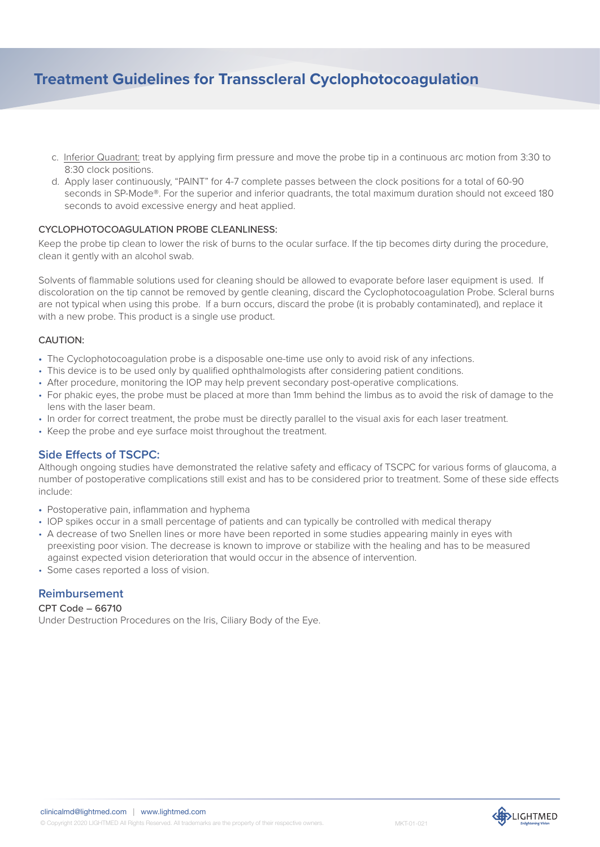- c. Inferior Quadrant: treat by applying firm pressure and move the probe tip in a continuous arc motion from 3:30 to 8:30 clock positions.
- d. Apply laser continuously, "PAINT" for 4-7 complete passes between the clock positions for a total of 60-90 seconds in SP-Mode®. For the superior and inferior quadrants, the total maximum duration should not exceed 180 seconds to avoid excessive energy and heat applied.

#### CYCLOPHOTOCOAGULATION PROBE CLEANLINESS:

Keep the probe tip clean to lower the risk of burns to the ocular surface. If the tip becomes dirty during the procedure, clean it gently with an alcohol swab.

Solvents of flammable solutions used for cleaning should be allowed to evaporate before laser equipment is used. If discoloration on the tip cannot be removed by gentle cleaning, discard the Cyclophotocoagulation Probe. Scleral burns are not typical when using this probe. If a burn occurs, discard the probe (it is probably contaminated), and replace it with a new probe. This product is a single use product.

#### CAUTION:

- The Cyclophotocoagulation probe is a disposable one-time use only to avoid risk of any infections.
- This device is to be used only by qualified ophthalmologists after considering patient conditions.
- After procedure, monitoring the IOP may help prevent secondary post-operative complications.
- For phakic eyes, the probe must be placed at more than 1mm behind the limbus as to avoid the risk of damage to the lens with the laser beam.
- In order for correct treatment, the probe must be directly parallel to the visual axis for each laser treatment.
- Keep the probe and eye surface moist throughout the treatment.

## **Side Effects of TSCPC:**

Although ongoing studies have demonstrated the relative safety and efficacy of TSCPC for various forms of glaucoma, a number of postoperative complications still exist and has to be considered prior to treatment. Some of these side effects include:

- Postoperative pain, inflammation and hyphema
- IOP spikes occur in a small percentage of patients and can typically be controlled with medical therapy
- A decrease of two Snellen lines or more have been reported in some studies appearing mainly in eyes with preexisting poor vision. The decrease is known to improve or stabilize with the healing and has to be measured against expected vision deterioration that would occur in the absence of intervention.
- Some cases reported a loss of vision.

## **Reimbursement**

#### CPT Code – 66710

Under Destruction Procedures on the Iris, Ciliary Body of the Eye.